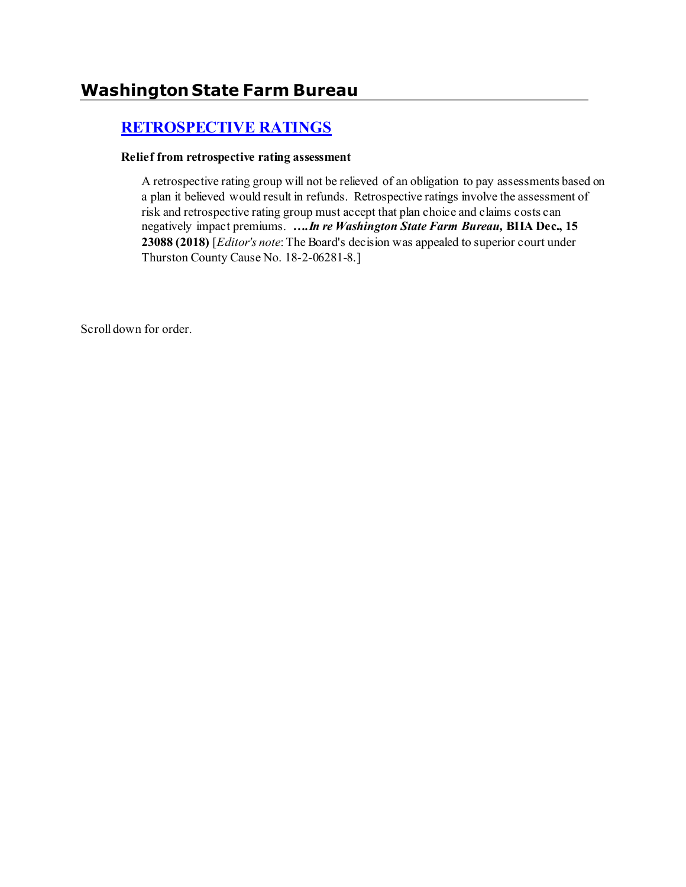# **[RETROSPECTIVE RATINGS](http://www.biia.wa.gov/SDSubjectIndex.html#RETROSPECTIVE_RATINGS)**

#### **Relief from retrospective rating assessment**

A retrospective rating group will not be relieved of an obligation to pay assessments based on a plan it believed would result in refunds. Retrospective ratings involve the assessment of risk and retrospective rating group must accept that plan choice and claims costs can negatively impact premiums. *….In re Washington State Farm Bureau,* **BIIA Dec., 15 23088 (2018)** [*Editor's note*:The Board's decision was appealed to superior court under Thurston County Cause No. 18-2-06281-8.]

Scroll down for order.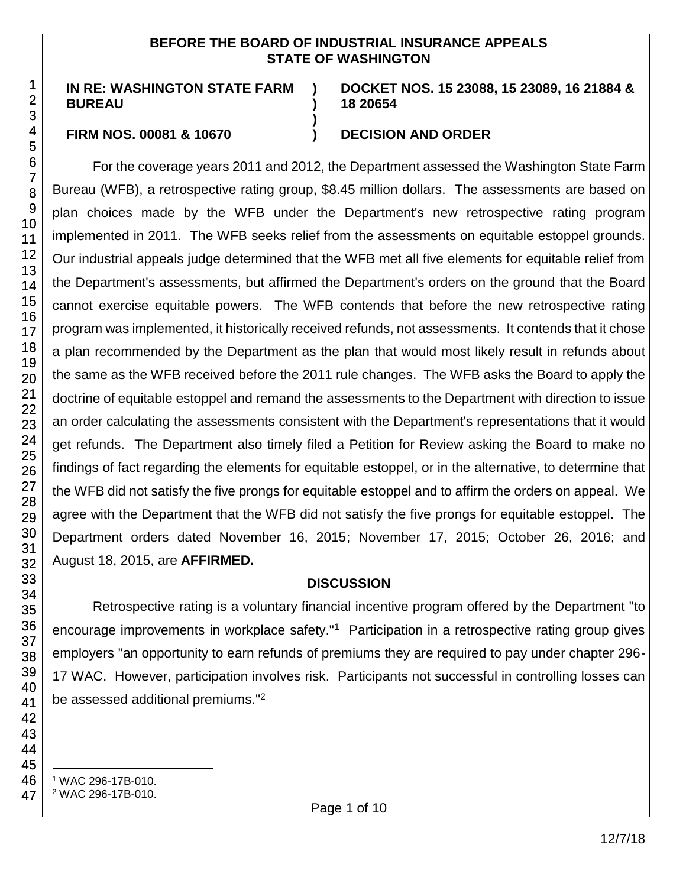#### **BEFORE THE BOARD OF INDUSTRIAL INSURANCE APPEALS STATE OF WASHINGTON**

**) )**

**)**

**IN RE: WASHINGTON STATE FARM BUREAU**

**DOCKET NOS. 15 23088, 15 23089, 16 21884 & 18 20654**

#### **FIRM NOS. 00081 & 10670 ) DECISION AND ORDER**

For the coverage years 2011 and 2012, the Department assessed the Washington State Farm Bureau (WFB), a retrospective rating group, \$8.45 million dollars. The assessments are based on plan choices made by the WFB under the Department's new retrospective rating program implemented in 2011. The WFB seeks relief from the assessments on equitable estoppel grounds. Our industrial appeals judge determined that the WFB met all five elements for equitable relief from the Department's assessments, but affirmed the Department's orders on the ground that the Board cannot exercise equitable powers. The WFB contends that before the new retrospective rating program was implemented, it historically received refunds, not assessments. It contends that it chose a plan recommended by the Department as the plan that would most likely result in refunds about the same as the WFB received before the 2011 rule changes. The WFB asks the Board to apply the doctrine of equitable estoppel and remand the assessments to the Department with direction to issue an order calculating the assessments consistent with the Department's representations that it would get refunds. The Department also timely filed a Petition for Review asking the Board to make no findings of fact regarding the elements for equitable estoppel, or in the alternative, to determine that the WFB did not satisfy the five prongs for equitable estoppel and to affirm the orders on appeal. We agree with the Department that the WFB did not satisfy the five prongs for equitable estoppel. The Department orders dated November 16, 2015; November 17, 2015; October 26, 2016; and August 18, 2015, are **AFFIRMED.**

#### **DISCUSSION**

Retrospective rating is a voluntary financial incentive program offered by the Department "to encourage improvements in workplace safety."<sup>1</sup> Participation in a retrospective rating group gives employers "an opportunity to earn refunds of premiums they are required to pay under chapter 296- 17 WAC. However, participation involves risk. Participants not successful in controlling losses can be assessed additional premiums."<sup>2</sup>

- l <sup>1</sup> WAC 296-17B-010.
- <sup>2</sup> WAC 296-17B-010.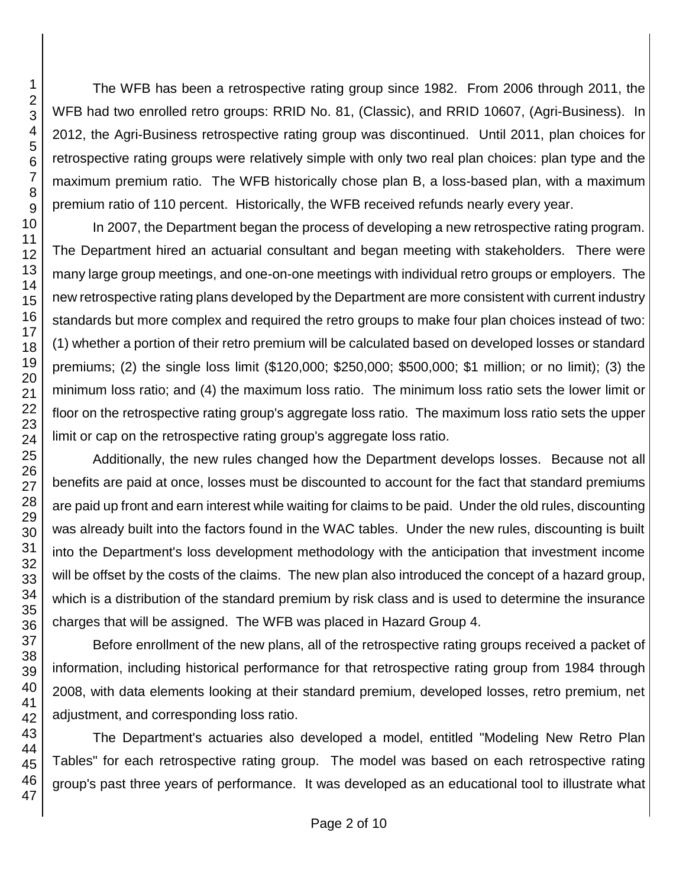The WFB has been a retrospective rating group since 1982. From 2006 through 2011, the WFB had two enrolled retro groups: RRID No. 81, (Classic), and RRID 10607, (Agri-Business). In 2012, the Agri-Business retrospective rating group was discontinued. Until 2011, plan choices for retrospective rating groups were relatively simple with only two real plan choices: plan type and the maximum premium ratio. The WFB historically chose plan B, a loss-based plan, with a maximum premium ratio of 110 percent. Historically, the WFB received refunds nearly every year.

In 2007, the Department began the process of developing a new retrospective rating program. The Department hired an actuarial consultant and began meeting with stakeholders. There were many large group meetings, and one-on-one meetings with individual retro groups or employers. The new retrospective rating plans developed by the Department are more consistent with current industry standards but more complex and required the retro groups to make four plan choices instead of two: (1) whether a portion of their retro premium will be calculated based on developed losses or standard premiums; (2) the single loss limit (\$120,000; \$250,000; \$500,000; \$1 million; or no limit); (3) the minimum loss ratio; and (4) the maximum loss ratio. The minimum loss ratio sets the lower limit or floor on the retrospective rating group's aggregate loss ratio. The maximum loss ratio sets the upper limit or cap on the retrospective rating group's aggregate loss ratio.

Additionally, the new rules changed how the Department develops losses. Because not all benefits are paid at once, losses must be discounted to account for the fact that standard premiums are paid up front and earn interest while waiting for claims to be paid. Under the old rules, discounting was already built into the factors found in the WAC tables. Under the new rules, discounting is built into the Department's loss development methodology with the anticipation that investment income will be offset by the costs of the claims. The new plan also introduced the concept of a hazard group, which is a distribution of the standard premium by risk class and is used to determine the insurance charges that will be assigned. The WFB was placed in Hazard Group 4.

Before enrollment of the new plans, all of the retrospective rating groups received a packet of information, including historical performance for that retrospective rating group from 1984 through 2008, with data elements looking at their standard premium, developed losses, retro premium, net adjustment, and corresponding loss ratio.

The Department's actuaries also developed a model, entitled "Modeling New Retro Plan Tables" for each retrospective rating group. The model was based on each retrospective rating group's past three years of performance. It was developed as an educational tool to illustrate what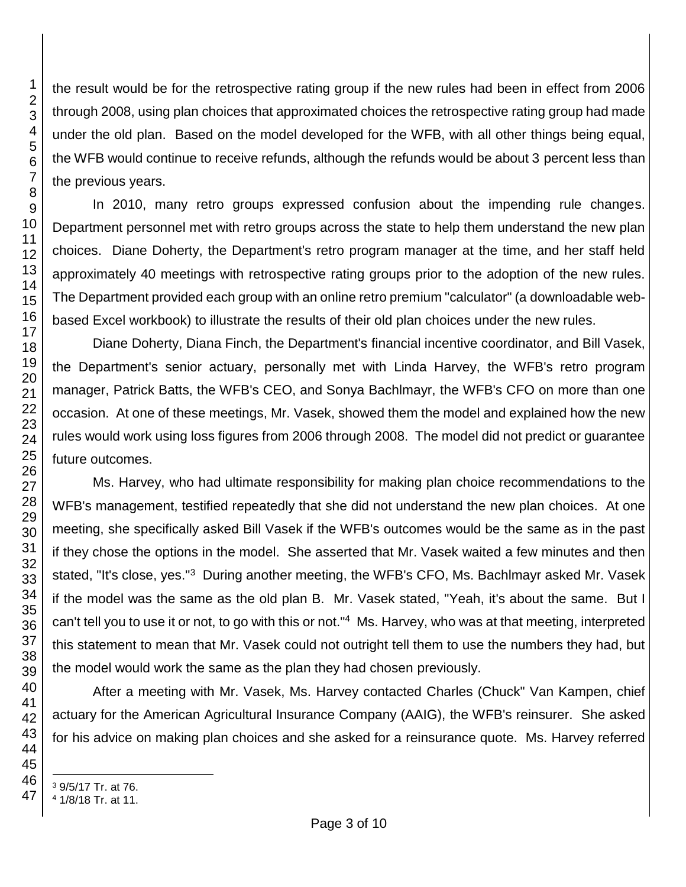the result would be for the retrospective rating group if the new rules had been in effect from 2006 through 2008, using plan choices that approximated choices the retrospective rating group had made under the old plan. Based on the model developed for the WFB, with all other things being equal, the WFB would continue to receive refunds, although the refunds would be about 3 percent less than the previous years.

In 2010, many retro groups expressed confusion about the impending rule changes. Department personnel met with retro groups across the state to help them understand the new plan choices. Diane Doherty, the Department's retro program manager at the time, and her staff held approximately 40 meetings with retrospective rating groups prior to the adoption of the new rules. The Department provided each group with an online retro premium "calculator" (a downloadable webbased Excel workbook) to illustrate the results of their old plan choices under the new rules.

Diane Doherty, Diana Finch, the Department's financial incentive coordinator, and Bill Vasek, the Department's senior actuary, personally met with Linda Harvey, the WFB's retro program manager, Patrick Batts, the WFB's CEO, and Sonya Bachlmayr, the WFB's CFO on more than one occasion. At one of these meetings, Mr. Vasek, showed them the model and explained how the new rules would work using loss figures from 2006 through 2008. The model did not predict or guarantee future outcomes.

Ms. Harvey, who had ultimate responsibility for making plan choice recommendations to the WFB's management, testified repeatedly that she did not understand the new plan choices. At one meeting, she specifically asked Bill Vasek if the WFB's outcomes would be the same as in the past if they chose the options in the model. She asserted that Mr. Vasek waited a few minutes and then stated, "It's close, yes."<sup>3</sup> During another meeting, the WFB's CFO, Ms. Bachlmayr asked Mr. Vasek if the model was the same as the old plan B. Mr. Vasek stated, "Yeah, it's about the same. But I can't tell you to use it or not, to go with this or not."<sup>4</sup> Ms. Harvey, who was at that meeting, interpreted this statement to mean that Mr. Vasek could not outright tell them to use the numbers they had, but the model would work the same as the plan they had chosen previously.

After a meeting with Mr. Vasek, Ms. Harvey contacted Charles (Chuck" Van Kampen, chief actuary for the American Agricultural Insurance Company (AAIG), the WFB's reinsurer. She asked for his advice on making plan choices and she asked for a reinsurance quote. Ms. Harvey referred

l

9/5/17 Tr. at 76.

1/8/18 Tr. at 11.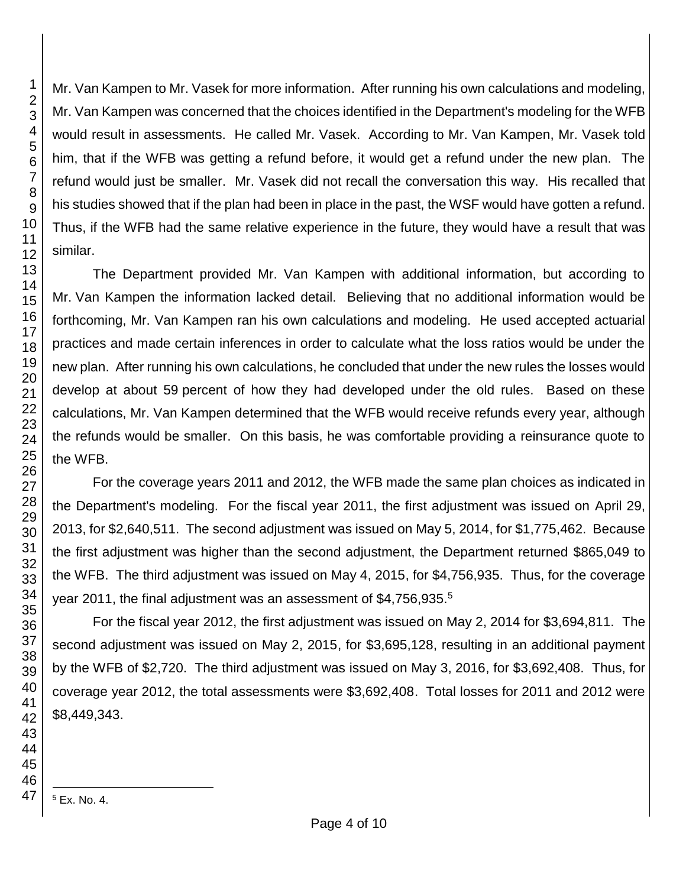Mr. Van Kampen to Mr. Vasek for more information. After running his own calculations and modeling, Mr. Van Kampen was concerned that the choices identified in the Department's modeling for the WFB would result in assessments. He called Mr. Vasek. According to Mr. Van Kampen, Mr. Vasek told him, that if the WFB was getting a refund before, it would get a refund under the new plan. The refund would just be smaller. Mr. Vasek did not recall the conversation this way. His recalled that his studies showed that if the plan had been in place in the past, the WSF would have gotten a refund. Thus, if the WFB had the same relative experience in the future, they would have a result that was similar.

The Department provided Mr. Van Kampen with additional information, but according to Mr. Van Kampen the information lacked detail. Believing that no additional information would be forthcoming, Mr. Van Kampen ran his own calculations and modeling. He used accepted actuarial practices and made certain inferences in order to calculate what the loss ratios would be under the new plan. After running his own calculations, he concluded that under the new rules the losses would develop at about 59 percent of how they had developed under the old rules. Based on these calculations, Mr. Van Kampen determined that the WFB would receive refunds every year, although the refunds would be smaller. On this basis, he was comfortable providing a reinsurance quote to the WFB.

For the coverage years 2011 and 2012, the WFB made the same plan choices as indicated in the Department's modeling. For the fiscal year 2011, the first adjustment was issued on April 29, 2013, for \$2,640,511. The second adjustment was issued on May 5, 2014, for \$1,775,462. Because the first adjustment was higher than the second adjustment, the Department returned \$865,049 to the WFB. The third adjustment was issued on May 4, 2015, for \$4,756,935. Thus, for the coverage year 2011, the final adjustment was an assessment of \$4,756,935.<sup>5</sup>

For the fiscal year 2012, the first adjustment was issued on May 2, 2014 for \$3,694,811. The second adjustment was issued on May 2, 2015, for \$3,695,128, resulting in an additional payment by the WFB of \$2,720. The third adjustment was issued on May 3, 2016, for \$3,692,408. Thus, for coverage year 2012, the total assessments were \$3,692,408. Total losses for 2011 and 2012 were \$8,449,343.

Ex. No. 4.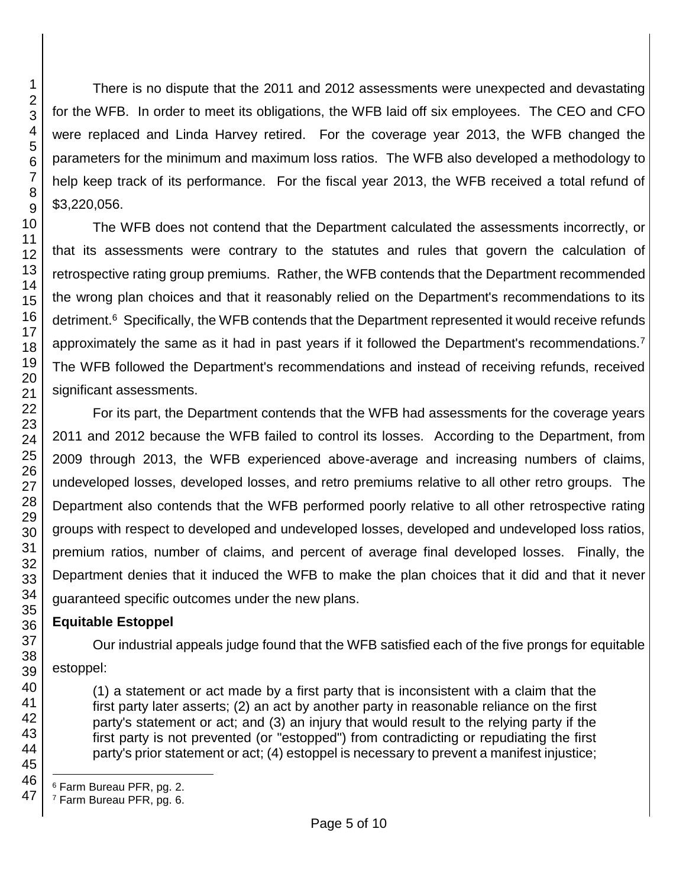There is no dispute that the 2011 and 2012 assessments were unexpected and devastating for the WFB. In order to meet its obligations, the WFB laid off six employees. The CEO and CFO were replaced and Linda Harvey retired. For the coverage year 2013, the WFB changed the parameters for the minimum and maximum loss ratios. The WFB also developed a methodology to help keep track of its performance. For the fiscal year 2013, the WFB received a total refund of \$3,220,056.

The WFB does not contend that the Department calculated the assessments incorrectly, or that its assessments were contrary to the statutes and rules that govern the calculation of retrospective rating group premiums. Rather, the WFB contends that the Department recommended the wrong plan choices and that it reasonably relied on the Department's recommendations to its detriment.<sup>6</sup> Specifically, the WFB contends that the Department represented it would receive refunds approximately the same as it had in past years if it followed the Department's recommendations.<sup>7</sup> The WFB followed the Department's recommendations and instead of receiving refunds, received significant assessments.

For its part, the Department contends that the WFB had assessments for the coverage years 2011 and 2012 because the WFB failed to control its losses. According to the Department, from 2009 through 2013, the WFB experienced above-average and increasing numbers of claims, undeveloped losses, developed losses, and retro premiums relative to all other retro groups. The Department also contends that the WFB performed poorly relative to all other retrospective rating groups with respect to developed and undeveloped losses, developed and undeveloped loss ratios, premium ratios, number of claims, and percent of average final developed losses. Finally, the Department denies that it induced the WFB to make the plan choices that it did and that it never guaranteed specific outcomes under the new plans.

## **Equitable Estoppel**

Our industrial appeals judge found that the WFB satisfied each of the five prongs for equitable estoppel:

(1) a statement or act made by a first party that is inconsistent with a claim that the first party later asserts; (2) an act by another party in reasonable reliance on the first party's statement or act; and (3) an injury that would result to the relying party if the first party is not prevented (or "estopped") from contradicting or repudiating the first party's prior statement or act; (4) estoppel is necessary to prevent a manifest injustice;

l <sup>6</sup> Farm Bureau PFR, pg. 2.

<sup>7</sup> Farm Bureau PFR, pg. 6.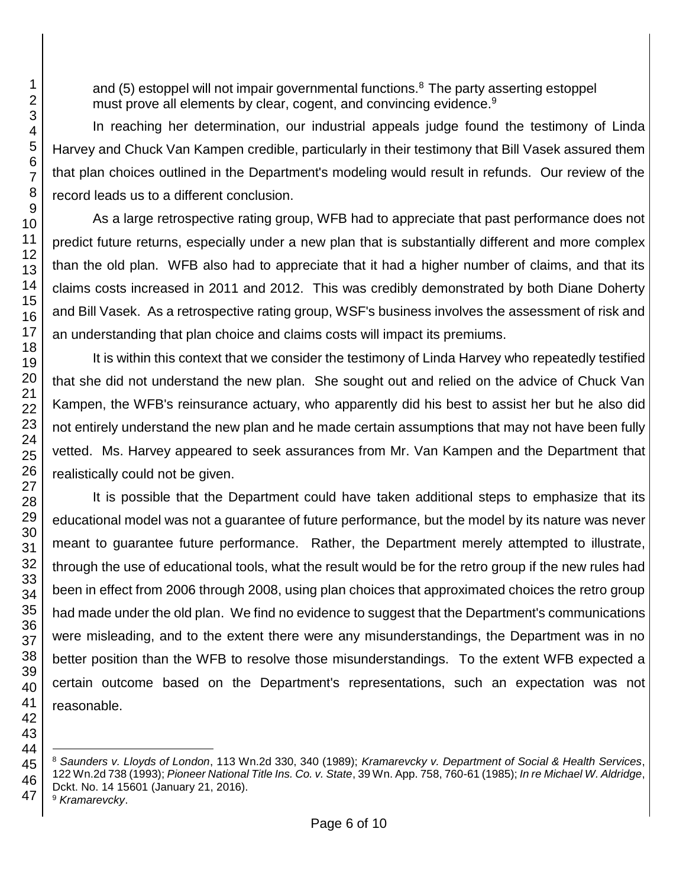and (5) estoppel will not impair governmental functions.<sup>8</sup> The party asserting estoppel must prove all elements by clear, cogent, and convincing evidence.<sup>9</sup>

In reaching her determination, our industrial appeals judge found the testimony of Linda Harvey and Chuck Van Kampen credible, particularly in their testimony that Bill Vasek assured them that plan choices outlined in the Department's modeling would result in refunds. Our review of the record leads us to a different conclusion.

As a large retrospective rating group, WFB had to appreciate that past performance does not predict future returns, especially under a new plan that is substantially different and more complex than the old plan. WFB also had to appreciate that it had a higher number of claims, and that its claims costs increased in 2011 and 2012. This was credibly demonstrated by both Diane Doherty and Bill Vasek. As a retrospective rating group, WSF's business involves the assessment of risk and an understanding that plan choice and claims costs will impact its premiums.

It is within this context that we consider the testimony of Linda Harvey who repeatedly testified that she did not understand the new plan. She sought out and relied on the advice of Chuck Van Kampen, the WFB's reinsurance actuary, who apparently did his best to assist her but he also did not entirely understand the new plan and he made certain assumptions that may not have been fully vetted. Ms. Harvey appeared to seek assurances from Mr. Van Kampen and the Department that realistically could not be given.

It is possible that the Department could have taken additional steps to emphasize that its educational model was not a guarantee of future performance, but the model by its nature was never meant to guarantee future performance. Rather, the Department merely attempted to illustrate, through the use of educational tools, what the result would be for the retro group if the new rules had been in effect from 2006 through 2008, using plan choices that approximated choices the retro group had made under the old plan. We find no evidence to suggest that the Department's communications were misleading, and to the extent there were any misunderstandings, the Department was in no better position than the WFB to resolve those misunderstandings. To the extent WFB expected a certain outcome based on the Department's representations, such an expectation was not reasonable.

*Kramarevcky*.

l *Saunders v. Lloyds of London*, 113 Wn.2d 330, 340 (1989); *Kramarevcky v. Department of Social & Health Services*, 122 Wn.2d 738 (1993); *Pioneer National Title Ins. Co. v. State*, 39 Wn. App. 758, 760-61 (1985); *In re Michael W. Aldridge*, Dckt. No. 14 15601 (January 21, 2016).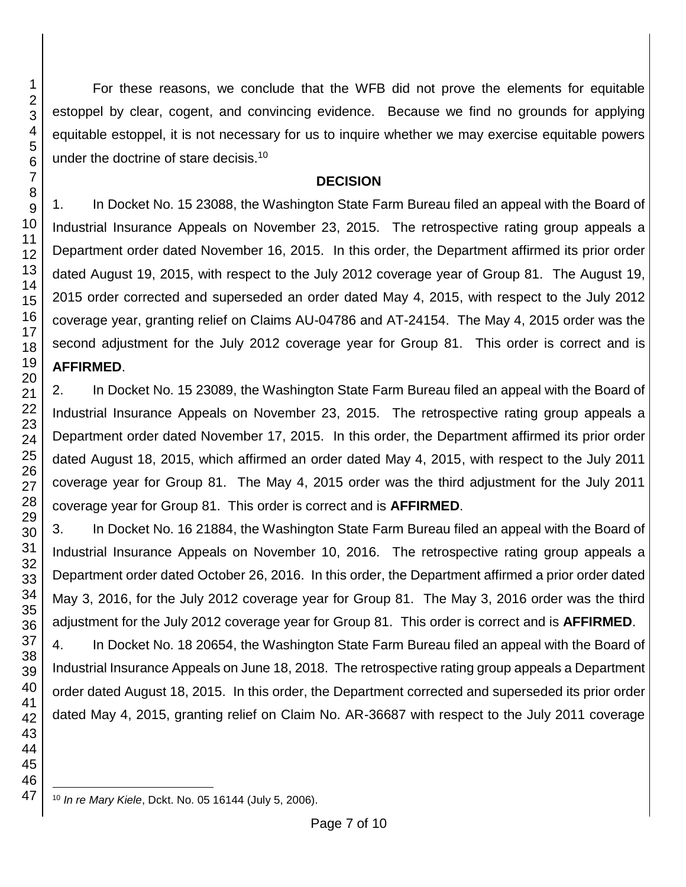For these reasons, we conclude that the WFB did not prove the elements for equitable estoppel by clear, cogent, and convincing evidence. Because we find no grounds for applying equitable estoppel, it is not necessary for us to inquire whether we may exercise equitable powers under the doctrine of stare decisis.<sup>10</sup>

#### **DECISION**

1. In Docket No. 15 23088, the Washington State Farm Bureau filed an appeal with the Board of Industrial Insurance Appeals on November 23, 2015. The retrospective rating group appeals a Department order dated November 16, 2015. In this order, the Department affirmed its prior order dated August 19, 2015, with respect to the July 2012 coverage year of Group 81. The August 19, 2015 order corrected and superseded an order dated May 4, 2015, with respect to the July 2012 coverage year, granting relief on Claims AU-04786 and AT-24154. The May 4, 2015 order was the second adjustment for the July 2012 coverage year for Group 81. This order is correct and is **AFFIRMED**.

2. In Docket No. 15 23089, the Washington State Farm Bureau filed an appeal with the Board of Industrial Insurance Appeals on November 23, 2015. The retrospective rating group appeals a Department order dated November 17, 2015. In this order, the Department affirmed its prior order dated August 18, 2015, which affirmed an order dated May 4, 2015, with respect to the July 2011 coverage year for Group 81. The May 4, 2015 order was the third adjustment for the July 2011 coverage year for Group 81. This order is correct and is **AFFIRMED**.

3. In Docket No. 16 21884, the Washington State Farm Bureau filed an appeal with the Board of Industrial Insurance Appeals on November 10, 2016. The retrospective rating group appeals a Department order dated October 26, 2016. In this order, the Department affirmed a prior order dated May 3, 2016, for the July 2012 coverage year for Group 81. The May 3, 2016 order was the third adjustment for the July 2012 coverage year for Group 81. This order is correct and is **AFFIRMED**.

4. In Docket No. 18 20654, the Washington State Farm Bureau filed an appeal with the Board of Industrial Insurance Appeals on June 18, 2018. The retrospective rating group appeals a Department order dated August 18, 2015. In this order, the Department corrected and superseded its prior order dated May 4, 2015, granting relief on Claim No. AR-36687 with respect to the July 2011 coverage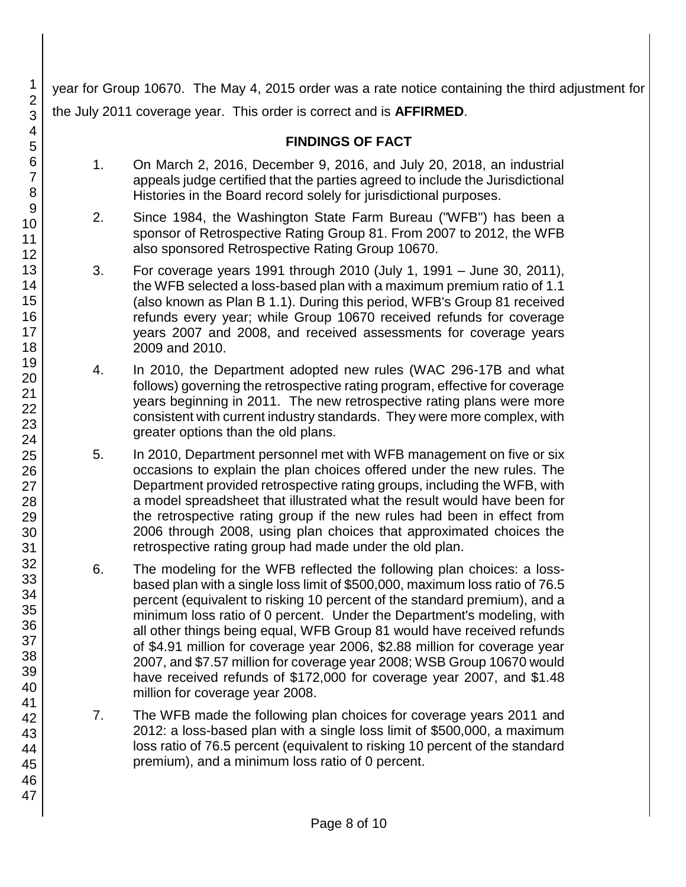year for Group 10670. The May 4, 2015 order was a rate notice containing the third adjustment for the July 2011 coverage year. This order is correct and is **AFFIRMED**.

## **FINDINGS OF FACT**

- 1. On March 2, 2016, December 9, 2016, and July 20, 2018, an industrial appeals judge certified that the parties agreed to include the Jurisdictional Histories in the Board record solely for jurisdictional purposes.
- 2. Since 1984, the Washington State Farm Bureau ("WFB") has been a sponsor of Retrospective Rating Group 81. From 2007 to 2012, the WFB also sponsored Retrospective Rating Group 10670.
- 3. For coverage years 1991 through 2010 (July 1, 1991 June 30, 2011), the WFB selected a loss-based plan with a maximum premium ratio of 1.1 (also known as Plan B 1.1). During this period, WFB's Group 81 received refunds every year; while Group 10670 received refunds for coverage years 2007 and 2008, and received assessments for coverage years 2009 and 2010.
- 4. In 2010, the Department adopted new rules (WAC 296-17B and what follows) governing the retrospective rating program, effective for coverage years beginning in 2011. The new retrospective rating plans were more consistent with current industry standards. They were more complex, with greater options than the old plans.
- 5. In 2010, Department personnel met with WFB management on five or six occasions to explain the plan choices offered under the new rules. The Department provided retrospective rating groups, including the WFB, with a model spreadsheet that illustrated what the result would have been for the retrospective rating group if the new rules had been in effect from 2006 through 2008, using plan choices that approximated choices the retrospective rating group had made under the old plan.
- 6. The modeling for the WFB reflected the following plan choices: a lossbased plan with a single loss limit of \$500,000, maximum loss ratio of 76.5 percent (equivalent to risking 10 percent of the standard premium), and a minimum loss ratio of 0 percent. Under the Department's modeling, with all other things being equal, WFB Group 81 would have received refunds of \$4.91 million for coverage year 2006, \$2.88 million for coverage year 2007, and \$7.57 million for coverage year 2008; WSB Group 10670 would have received refunds of \$172,000 for coverage year 2007, and \$1.48 million for coverage year 2008.
- 7. The WFB made the following plan choices for coverage years 2011 and 2012: a loss-based plan with a single loss limit of \$500,000, a maximum loss ratio of 76.5 percent (equivalent to risking 10 percent of the standard premium), and a minimum loss ratio of 0 percent.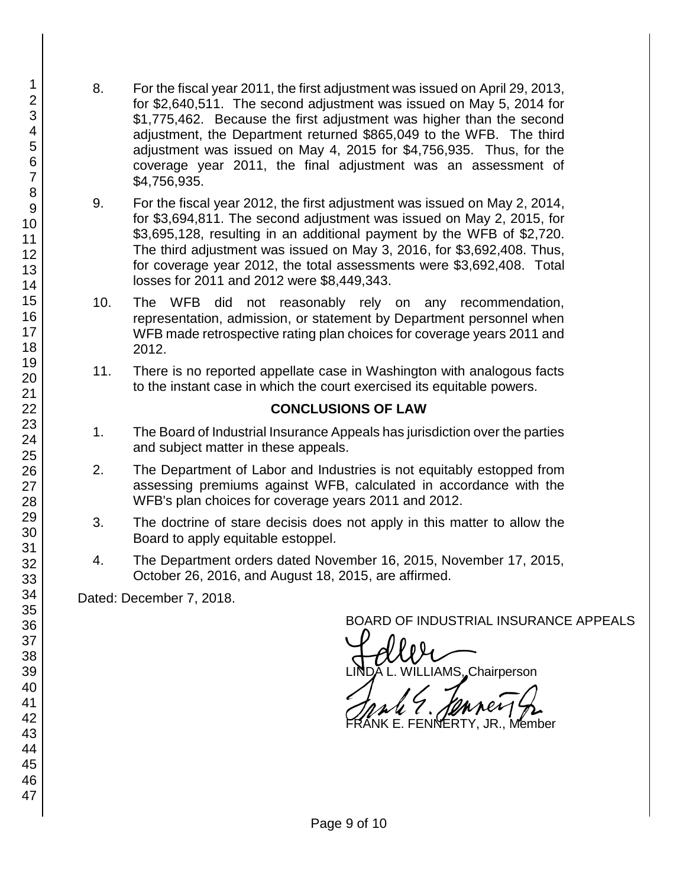- 8. For the fiscal year 2011, the first adjustment was issued on April 29, 2013, for \$2,640,511. The second adjustment was issued on May 5, 2014 for \$1,775,462. Because the first adjustment was higher than the second adjustment, the Department returned \$865,049 to the WFB. The third adjustment was issued on May 4, 2015 for \$4,756,935. Thus, for the coverage year 2011, the final adjustment was an assessment of \$4,756,935.
- 9. For the fiscal year 2012, the first adjustment was issued on May 2, 2014, for \$3,694,811. The second adjustment was issued on May 2, 2015, for \$3,695,128, resulting in an additional payment by the WFB of \$2,720. The third adjustment was issued on May 3, 2016, for \$3,692,408. Thus, for coverage year 2012, the total assessments were \$3,692,408. Total losses for 2011 and 2012 were \$8,449,343.
- 10. The WFB did not reasonably rely on any recommendation, representation, admission, or statement by Department personnel when WFB made retrospective rating plan choices for coverage years 2011 and 2012.
- 11. There is no reported appellate case in Washington with analogous facts to the instant case in which the court exercised its equitable powers.

## **CONCLUSIONS OF LAW**

- 1. The Board of Industrial Insurance Appeals has jurisdiction over the parties and subject matter in these appeals.
- 2. The Department of Labor and Industries is not equitably estopped from assessing premiums against WFB, calculated in accordance with the WFB's plan choices for coverage years 2011 and 2012.
- 3. The doctrine of stare decisis does not apply in this matter to allow the Board to apply equitable estoppel.
- 4. The Department orders dated November 16, 2015, November 17, 2015, October 26, 2016, and August 18, 2015, are affirmed.

Dated: December 7, 2018.

BOARD OF INDUSTRIAL INSURANCE APPEALS<br>A CULU Chairpara AMS, Chairperson

FRANK 7. JONNEY 4